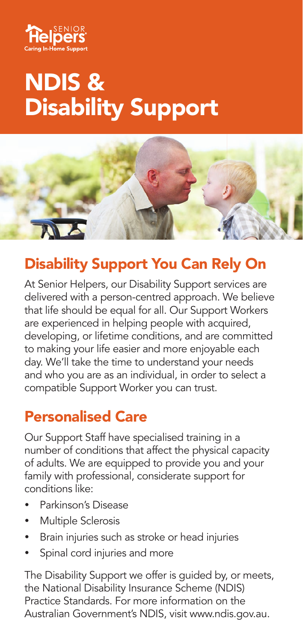

## NDIS & Disability Support



## Disability Support You Can Rely On

At Senior Helpers, our Disability Support services are delivered with a person-centred approach. We believe that life should be equal for all. Our Support Workers are experienced in helping people with acquired, developing, or lifetime conditions, and are committed to making your life easier and more enjoyable each day. We'll take the time to understand your needs and who you are as an individual, in order to select a compatible Support Worker you can trust.

## Personalised Care

Our Support Staff have specialised training in a number of conditions that affect the physical capacity of adults. We are equipped to provide you and your family with professional, considerate support for conditions like:

- Parkinson's Disease
- Multiple Sclerosis
- Brain injuries such as stroke or head injuries
- Spinal cord injuries and more

The Disability Support we offer is guided by, or meets, the National Disability Insurance Scheme (NDIS) Practice Standards. For more information on the Australian Government's NDIS, visit www.ndis.gov.au.